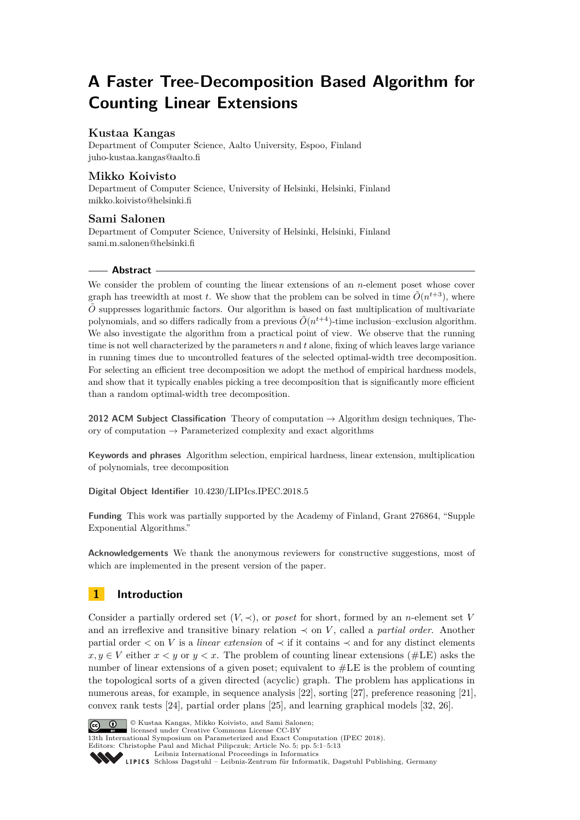# **A Faster Tree-Decomposition Based Algorithm for Counting Linear Extensions**

### **Kustaa Kangas**

Department of Computer Science, Aalto University, Espoo, Finland [juho-kustaa.kangas@aalto.fi](mailto:juho-kustaa.kangas@aalto.fi)

### **Mikko Koivisto**

Department of Computer Science, University of Helsinki, Helsinki, Finland [mikko.koivisto@helsinki.fi](mailto:mikko.koivisto@helsinki.fi)

### **Sami Salonen**

Department of Computer Science, University of Helsinki, Helsinki, Finland [sami.m.salonen@helsinki.fi](mailto:sami.m.salonen@helsinki.fi)

### **Abstract**

We consider the problem of counting the linear extensions of an *n*-element poset whose cover graph has treewidth at most *t*. We show that the problem can be solved in time  $\tilde{O}(n^{t+3})$ , where  $\tilde{O}$  suppresses logarithmic factors. Our algorithm is based on fast multiplication of multivariate polynomials, and so differs radically from a previous  $\tilde{O}(n^{t+4})$ -time inclusion–exclusion algorithm. We also investigate the algorithm from a practical point of view. We observe that the running time is not well characterized by the parameters *n* and *t* alone, fixing of which leaves large variance in running times due to uncontrolled features of the selected optimal-width tree decomposition. For selecting an efficient tree decomposition we adopt the method of empirical hardness models, and show that it typically enables picking a tree decomposition that is significantly more efficient than a random optimal-width tree decomposition.

**2012 ACM Subject Classification** Theory of computation → Algorithm design techniques, Theory of computation  $\rightarrow$  Parameterized complexity and exact algorithms

**Keywords and phrases** Algorithm selection, empirical hardness, linear extension, multiplication of polynomials, tree decomposition

**Digital Object Identifier** [10.4230/LIPIcs.IPEC.2018.5](https://doi.org/10.4230/LIPIcs.IPEC.2018.5)

**Funding** This work was partially supported by the Academy of Finland, Grant 276864, "Supple Exponential Algorithms."

**Acknowledgements** We thank the anonymous reviewers for constructive suggestions, most of which are implemented in the present version of the paper.

## **1 Introduction**

Consider a partially ordered set  $(V, \prec)$ , or *poset* for short, formed by an *n*-element set V and an irreflexive and transitive binary relation  $\prec$  on *V*, called a *partial order*. Another partial order *<* on *V* is a *linear extension* of ≺ if it contains ≺ and for any distinct elements  $x, y \in V$  either  $x \leq y$  or  $y \leq x$ . The problem of counting linear extensions (#LE) asks the number of linear extensions of a given poset; equivalent to #LE is the problem of counting the topological sorts of a given directed (acyclic) graph. The problem has applications in numerous areas, for example, in sequence analysis [\[22\]](#page-12-0), sorting [\[27\]](#page-12-1), preference reasoning [\[21\]](#page-11-0), convex rank tests [\[24\]](#page-12-2), partial order plans [\[25\]](#page-12-3), and learning graphical models [\[32,](#page-12-4) [26\]](#page-12-5).



G  $\bigcirc$  V Kustaa Kangas, Mikko Koivisto, and Sami Salonen: licensed under Creative Commons License CC-BY

13th International Symposium on Parameterized and Exact Computation (IPEC 2018).

Editors: Christophe Paul and Michał Pilipczuk; Article No. 5; pp. 5:1–5[:13](#page-12-6) [Leibniz International Proceedings in Informatics](http://www.dagstuhl.de/lipics/)

Leibniz international riveredings in miximetrix<br>
LIPICS [Schloss Dagstuhl – Leibniz-Zentrum für Informatik, Dagstuhl Publishing, Germany](http://www.dagstuhl.de)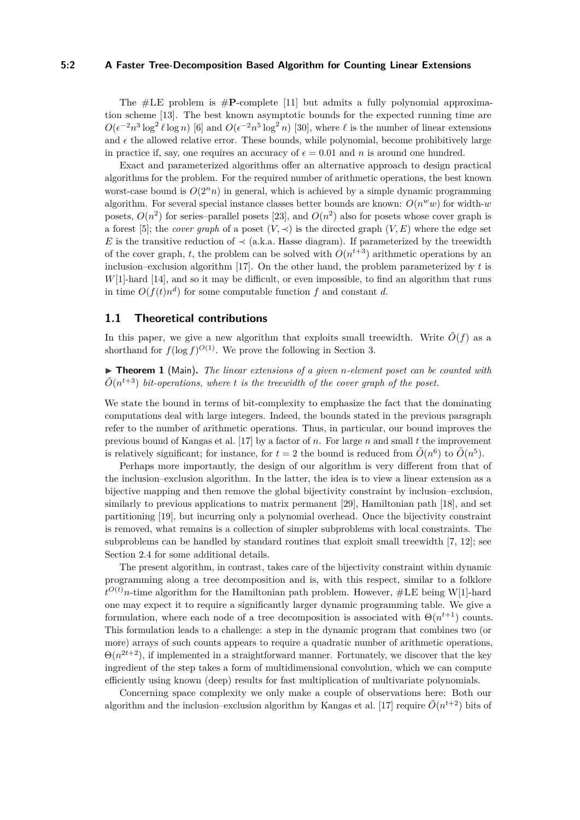#### **5:2 A Faster Tree-Decomposition Based Algorithm for Counting Linear Extensions**

The  $\#LE$  problem is  $\#P$ -complete [\[11\]](#page-11-1) but admits a fully polynomial approximation scheme [\[13\]](#page-11-2). The best known asymptotic bounds for the expected running time are  $O(\epsilon^{-2} n^3 \log^2 \ell \log n)$  [\[6\]](#page-11-3) and  $O(\epsilon^{-2} n^5 \log^2 n)$  [\[30\]](#page-12-7), where  $\ell$  is the number of linear extensions and  $\epsilon$  the allowed relative error. These bounds, while polynomial, become prohibitively large in practice if, say, one requires an accuracy of  $\epsilon = 0.01$  and *n* is around one hundred.

Exact and parameterized algorithms offer an alternative approach to design practical algorithms for the problem. For the required number of arithmetic operations, the best known worst-case bound is  $O(2^n n)$  in general, which is achieved by a simple dynamic programming algorithm. For several special instance classes better bounds are known:  $O(n^w w)$  for width- $w$ posets,  $O(n^2)$  for series–parallel posets [\[23\]](#page-12-8), and  $O(n^2)$  also for posets whose cover graph is a forest [\[5\]](#page-11-4); the *cover graph* of a poset  $(V, \prec)$  is the directed graph  $(V, E)$  where the edge set *E* is the transitive reduction of  $\prec$  (a.k.a. Hasse diagram). If parameterized by the treewidth of the cover graph, *t*, the problem can be solved with  $O(n^{t+3})$  arithmetic operations by an inclusion–exclusion algorithm [\[17\]](#page-11-5). On the other hand, the problem parameterized by *t* is *W*[1]-hard [\[14\]](#page-11-6), and so it may be difficult, or even impossible, to find an algorithm that runs in time  $O(f(t)n^d)$  for some computable function  $f$  and constant  $d$ .

#### **1.1 Theoretical contributions**

In this paper, we give a new algorithm that exploits small treewidth. Write  $\tilde{O}(f)$  as a shorthand for  $f(\log f)^{O(1)}$ . We prove the following in Section 3.

<span id="page-1-0"></span>▶ **Theorem 1** (Main). *The linear extensions of a given n-element poset can be counted with*  $\tilde{O}(n^{t+3})$  *bit-operations, where t is the treewidth of the cover graph of the poset.* 

We state the bound in terms of bit-complexity to emphasize the fact that the dominating computations deal with large integers. Indeed, the bounds stated in the previous paragraph refer to the number of arithmetic operations. Thus, in particular, our bound improves the previous bound of Kangas et al. [\[17\]](#page-11-5) by a factor of *n*. For large *n* and small *t* the improvement is relatively significant; for instance, for  $t = 2$  the bound is reduced from  $\tilde{O}(n^6)$  to  $\tilde{O}(n^5)$ .

Perhaps more importantly, the design of our algorithm is very different from that of the inclusion–exclusion algorithm. In the latter, the idea is to view a linear extension as a bijective mapping and then remove the global bijectivity constraint by inclusion–exclusion, similarly to previous applications to matrix permanent [\[29\]](#page-12-9), Hamiltonian path [\[18\]](#page-11-7), and set partitioning [\[19\]](#page-11-8), but incurring only a polynomial overhead. Once the bijectivity constraint is removed, what remains is a collection of simpler subproblems with local constraints. The subproblems can be handled by standard routines that exploit small treewidth [\[7,](#page-11-9) [12\]](#page-11-10); see Section 2.4 for some additional details.

The present algorithm, in contrast, takes care of the bijectivity constraint within dynamic programming along a tree decomposition and is, with this respect, similar to a folklore  $t^{O(t)}$ *n*-time algorithm for the Hamiltonian path problem. However, #LE being W[1]-hard one may expect it to require a significantly larger dynamic programming table. We give a formulation, where each node of a tree decomposition is associated with  $\Theta(n^{t+1})$  counts. This formulation leads to a challenge: a step in the dynamic program that combines two (or more) arrays of such counts appears to require a quadratic number of arithmetic operations,  $\Theta(n^{2t+2})$ , if implemented in a straightforward manner. Fortunately, we discover that the key ingredient of the step takes a form of multidimensional convolution, which we can compute efficiently using known (deep) results for fast multiplication of multivariate polynomials.

Concerning space complexity we only make a couple of observations here: Both our algorithm and the inclusion–exclusion algorithm by Kangas et al. [\[17\]](#page-11-5) require  $\tilde{O}(n^{t+2})$  bits of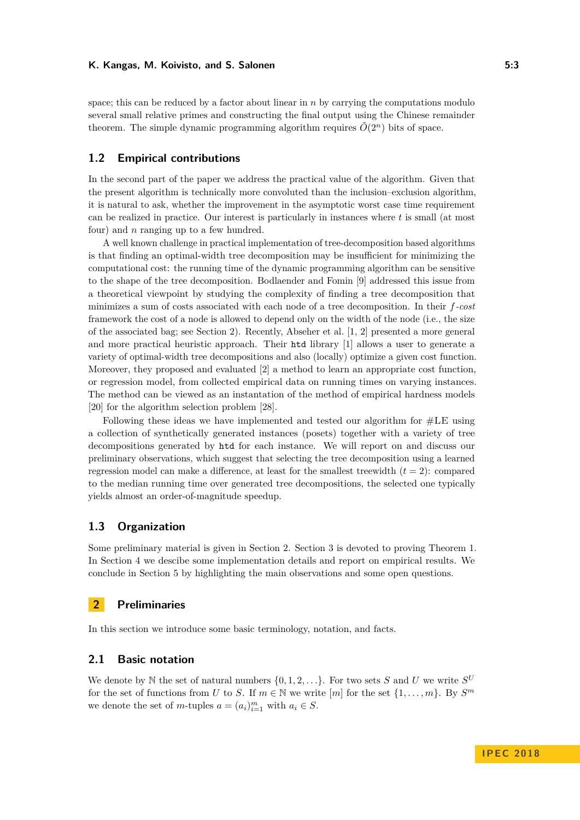#### K. Kangas, M. Koivisto, and S. Salonen **6:3 1988 1988 1988 1988 1988 1988 1988 1988 1988 1988 1988 1988 1988 1988 1988 1988 1988 1988 1988 1988 1988 1988 1988 1988 1988 1**

space; this can be reduced by a factor about linear in *n* by carrying the computations modulo several small relative primes and constructing the final output using the Chinese remainder theorem. The simple dynamic programming algorithm requires  $\tilde{O}(2^n)$  bits of space.

### **1.2 Empirical contributions**

In the second part of the paper we address the practical value of the algorithm. Given that the present algorithm is technically more convoluted than the inclusion–exclusion algorithm, it is natural to ask, whether the improvement in the asymptotic worst case time requirement can be realized in practice. Our interest is particularly in instances where *t* is small (at most four) and *n* ranging up to a few hundred.

A well known challenge in practical implementation of tree-decomposition based algorithms is that finding an optimal-width tree decomposition may be insufficient for minimizing the computational cost: the running time of the dynamic programming algorithm can be sensitive to the shape of the tree decomposition. Bodlaender and Fomin [\[9\]](#page-11-11) addressed this issue from a theoretical viewpoint by studying the complexity of finding a tree decomposition that minimizes a sum of costs associated with each node of a tree decomposition. In their *f-cost* framework the cost of a node is allowed to depend only on the width of the node (i.e., the size of the associated bag; see Section 2). Recently, Abseher et al. [\[1,](#page-10-0) [2\]](#page-11-12) presented a more general and more practical heuristic approach. Their htd library [\[1\]](#page-10-0) allows a user to generate a variety of optimal-width tree decompositions and also (locally) optimize a given cost function. Moreover, they proposed and evaluated [\[2\]](#page-11-12) a method to learn an appropriate cost function, or regression model, from collected empirical data on running times on varying instances. The method can be viewed as an instantation of the method of empirical hardness models [\[20\]](#page-11-13) for the algorithm selection problem [\[28\]](#page-12-10).

Following these ideas we have implemented and tested our algorithm for #LE using a collection of synthetically generated instances (posets) together with a variety of tree decompositions generated by htd for each instance. We will report on and discuss our preliminary observations, which suggest that selecting the tree decomposition using a learned regression model can make a difference, at least for the smallest treewidth  $(t = 2)$ : compared to the median running time over generated tree decompositions, the selected one typically yields almost an order-of-magnitude speedup.

### **1.3 Organization**

Some preliminary material is given in Section [2.](#page-2-0) Section [3](#page-4-0) is devoted to proving Theorem [1.](#page-1-0) In Section [4](#page-7-0) we descibe some implementation details and report on empirical results. We conclude in Section [5](#page-10-1) by highlighting the main observations and some open questions.

### <span id="page-2-0"></span>**2 Preliminaries**

In this section we introduce some basic terminology, notation, and facts.

### **2.1 Basic notation**

We denote by N the set of natural numbers  $\{0, 1, 2, \ldots\}$ . For two sets S and U we write  $S^U$ for the set of functions from *U* to *S*. If  $m \in \mathbb{N}$  we write  $[m]$  for the set  $\{1, \ldots, m\}$ . By  $S^m$ we denote the set of *m*-tuples  $a = (a_i)_{i=1}^m$  with  $a_i \in S$ .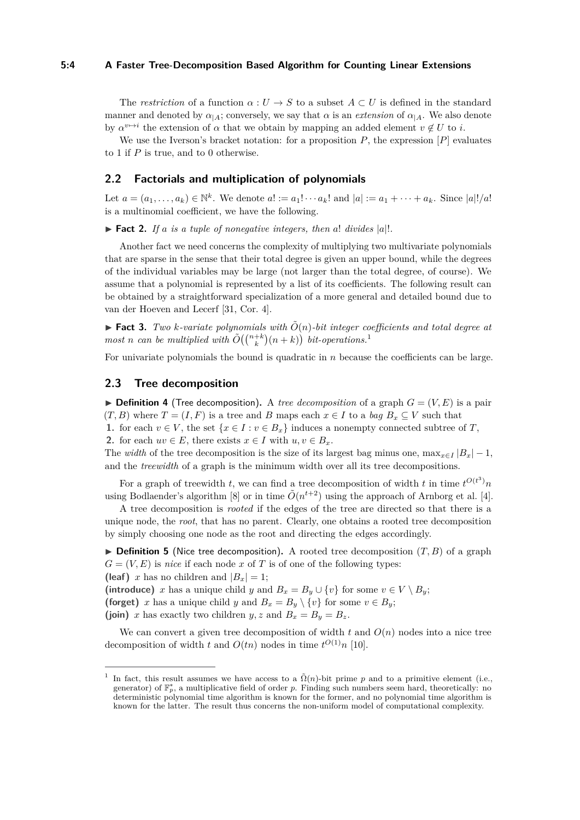#### **5:4 A Faster Tree-Decomposition Based Algorithm for Counting Linear Extensions**

The *restriction* of a function  $\alpha: U \to S$  to a subset  $A \subset U$  is defined in the standard manner and denoted by  $\alpha_{A}$ ; conversely, we say that  $\alpha$  is an *extension* of  $\alpha_{A}$ . We also denote by  $\alpha^{v \mapsto i}$  the extension of  $\alpha$  that we obtain by mapping an added element  $v \notin U$  to *i*.

We use the Iverson's bracket notation: for a proposition *P*, the expression [*P*] evaluates to 1 if *P* is true, and to 0 otherwise.

### **2.2 Factorials and multiplication of polynomials**

Let  $a = (a_1, ..., a_k) \in \mathbb{N}^k$ . We denote  $a! := a_1! \cdots a_k!$  and  $|a| := a_1 + \cdots + a_k$ . Since  $|a|!/a!$ is a multinomial coefficient, we have the following.

<span id="page-3-1"></span> $\triangleright$  **Fact 2.** *If a is a tuple of nonegative integers, then a! divides |a|!.* 

Another fact we need concerns the complexity of multiplying two multivariate polynomials that are sparse in the sense that their total degree is given an upper bound, while the degrees of the individual variables may be large (not larger than the total degree, of course). We assume that a polynomial is represented by a list of its coefficients. The following result can be obtained by a straightforward specialization of a more general and detailed bound due to van der Hoeven and Lecerf [\[31,](#page-12-11) Cor. 4].

<span id="page-3-2"></span> $\blacktriangleright$  **Fact 3.** *Two k-variate polynomials with*  $\tilde{O}(n)$ *-bit integer coefficients and total degree at most n can be multiplied with*  $\tilde{O}((\binom{n+k}{k}(n+k))$  *bit-operations.*<sup>[1](#page-3-0)</sup>

For univariate polynomials the bound is quadratic in *n* because the coefficients can be large.

#### **2.3 Tree decomposition**

 $\triangleright$  **Definition 4** (Tree decomposition). A *tree decomposition* of a graph  $G = (V, E)$  is a pair  $(T, B)$  where  $T = (I, F)$  is a tree and *B* maps each  $x \in I$  to a *bag*  $B_x \subseteq V$  such that **1.** for each  $v \in V$ , the set  $\{x \in I : v \in B_x\}$  induces a nonempty connected subtree of *T*, 2. for each  $uv \in E$ , there exists  $x \in I$  with  $u, v \in B_x$ .

The *width* of the tree decomposition is the size of its largest bag minus one,  $\max_{x \in I} |B_x| - 1$ , and the *treewidth* of a graph is the minimum width over all its tree decompositions.

For a graph of treewidth *t*, we can find a tree decomposition of width *t* in time  $t^{O(t^3)}n$ using Bodlaender's algorithm [\[8\]](#page-11-14) or in time  $\tilde{O}(n^{t+2})$  using the approach of Arnborg et al. [\[4\]](#page-11-15).

A tree decomposition is *rooted* if the edges of the tree are directed so that there is a unique node, the *root*, that has no parent. Clearly, one obtains a rooted tree decomposition by simply choosing one node as the root and directing the edges accordingly.

 $\triangleright$  **Definition 5** (Nice tree decomposition). A rooted tree decomposition  $(T, B)$  of a graph  $G = (V, E)$  is *nice* if each node *x* of *T* is of one of the following types:

**(leaf)** *x* has no children and  $|B_x| = 1$ ;

(introduce) *x* has a unique child *y* and  $B_x = B_y \cup \{v\}$  for some  $v \in V \setminus B_y$ ;

**(forget)** *x* has a unique child *y* and  $B_x = B_y \setminus \{v\}$  for some  $v \in B_y$ ;

(join) *x* has exactly two children *y*, *z* and  $B_x = B_y = B_z$ .

We can convert a given tree decomposition of width  $t$  and  $O(n)$  nodes into a nice tree decomposition of width *t* and  $O(tn)$  nodes in time  $t^{O(1)}n$  [\[10\]](#page-11-16).

<span id="page-3-0"></span><sup>1</sup> In fact, this result assumes we have access to a  $\tilde{\Omega}(n)$ -bit prime *p* and to a primitive element (i.e., generator) of  $\mathbb{F}_p^*$ , a multiplicative field of order p. Finding such numbers seem hard, theoretically: no deterministic polynomial time algorithm is known for the former, and no polynomial time algorithm is known for the latter. The result thus concerns the non-uniform model of computational complexity.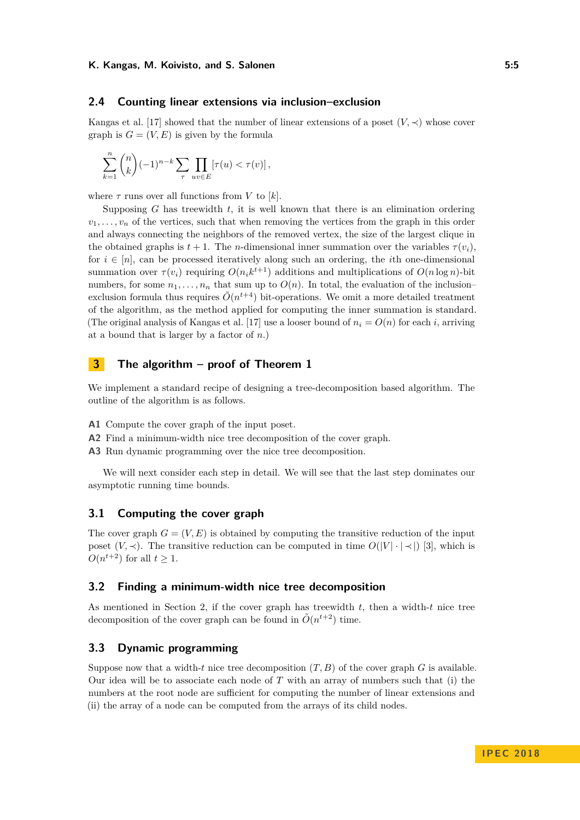#### K. Kangas, M. Koivisto, and S. Salonen **6:5** and 5:5

#### **2.4 Counting linear extensions via inclusion–exclusion**

Kangas et al. [\[17\]](#page-11-5) showed that the number of linear extensions of a poset  $(V, \prec)$  whose cover graph is  $G = (V, E)$  is given by the formula

$$
\sum_{k=1}^n \binom{n}{k} (-1)^{n-k} \sum_{\tau} \prod_{uv \in E} \left[ \tau(u) < \tau(v) \right],
$$

where  $\tau$  runs over all functions from V to [k].

Supposing *G* has treewidth *t*, it is well known that there is an elimination ordering  $v_1, \ldots, v_n$  of the vertices, such that when removing the vertices from the graph in this order and always connecting the neighbors of the removed vertex, the size of the largest clique in the obtained graphs is  $t + 1$ . The *n*-dimensional inner summation over the variables  $\tau(v_i)$ . for  $i \in [n]$ , can be processed iteratively along such an ordering, the *i*th one-dimensional summation over  $\tau(v_i)$  requiring  $O(n_i k^{t+1})$  additions and multiplications of  $O(n \log n)$ -bit numbers, for some  $n_1, \ldots, n_n$  that sum up to  $O(n)$ . In total, the evaluation of the inclusionexclusion formula thus requires  $\tilde{O}(n^{t+4})$  bit-operations. We omit a more detailed treatment of the algorithm, as the method applied for computing the inner summation is standard. (The original analysis of Kangas et al. [\[17\]](#page-11-5) use a looser bound of  $n_i = O(n)$  for each *i*, arriving at a bound that is larger by a factor of *n*.)

### <span id="page-4-0"></span>**3 The algorithm – proof of Theorem 1**

We implement a standard recipe of designing a tree-decomposition based algorithm. The outline of the algorithm is as follows.

- **A1** Compute the cover graph of the input poset.
- **A2** Find a minimum-width nice tree decomposition of the cover graph.
- **A3** Run dynamic programming over the nice tree decomposition.

We will next consider each step in detail. We will see that the last step dominates our asymptotic running time bounds.

#### **3.1 Computing the cover graph**

The cover graph  $G = (V, E)$  is obtained by computing the transitive reduction of the input poset  $(V, \prec)$ . The transitive reduction can be computed in time  $O(|V| \cdot |\prec|)$  [\[3\]](#page-11-17), which is  $O(n^{t+2})$  for all  $t \geq 1$ .

#### **3.2 Finding a minimum-width nice tree decomposition**

As mentioned in Section 2, if the cover graph has treewidth *t*, then a width-*t* nice tree decomposition of the cover graph can be found in  $\tilde{O}(n^{t+2})$  time.

### **3.3 Dynamic programming**

Suppose now that a width- $t$  nice tree decomposition  $(T, B)$  of the cover graph  $G$  is available. Our idea will be to associate each node of *T* with an array of numbers such that (i) the numbers at the root node are sufficient for computing the number of linear extensions and (ii) the array of a node can be computed from the arrays of its child nodes.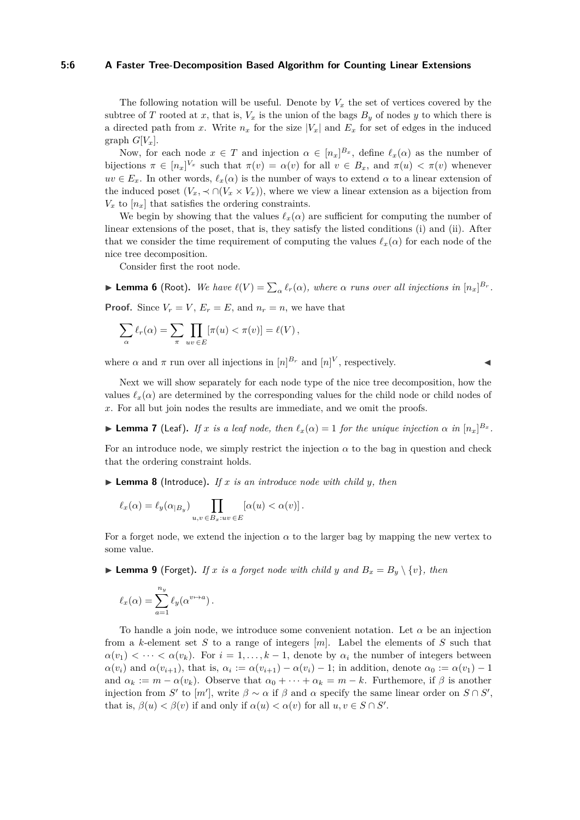#### **5:6 A Faster Tree-Decomposition Based Algorithm for Counting Linear Extensions**

The following notation will be useful. Denote by  $V_x$  the set of vertices covered by the subtree of *T* rooted at *x*, that is,  $V_x$  is the union of the bags  $B_y$  of nodes *y* to which there is a directed path from *x*. Write  $n_x$  for the size  $|V_x|$  and  $E_x$  for set of edges in the induced graph  $G[V_x]$ .

Now, for each node  $x \in T$  and injection  $\alpha \in [n_x]^{B_x}$ , define  $\ell_x(\alpha)$  as the number of bijections  $\pi \in [n_x]^{V_x}$  such that  $\pi(v) = \alpha(v)$  for all  $v \in B_x$ , and  $\pi(u) < \pi(v)$  whenever  $uv \in E_x$ . In other words,  $\ell_x(\alpha)$  is the number of ways to extend  $\alpha$  to a linear extension of the induced poset  $(V_x, \prec \cap (V_x \times V_x))$ , where we view a linear extension as a bijection from  $V_x$  to  $[n_x]$  that satisfies the ordering constraints.

We begin by showing that the values  $\ell_x(\alpha)$  are sufficient for computing the number of linear extensions of the poset, that is, they satisfy the listed conditions (i) and (ii). After that we consider the time requirement of computing the values  $\ell_x(\alpha)$  for each node of the nice tree decomposition.

Consider first the root node.

**Example 6** (Root). We have  $\ell(V) = \sum_{\alpha} \ell_r(\alpha)$ , where  $\alpha$  runs over all injections in  $[n_x]^{B_r}$ . **Proof.** Since  $V_r = V$ ,  $E_r = E$ , and  $n_r = n$ , we have that

$$
\sum_{\alpha} \ell_r(\alpha) = \sum_{\pi} \prod_{uv \in E} [\pi(u) < \pi(v)] = \ell(V),
$$

where  $\alpha$  and  $\pi$  run over all injections in  $[n]^{B_r}$  and  $[n]^V$ , respectively.

Next we will show separately for each node type of the nice tree decomposition, how the values  $\ell_x(\alpha)$  are determined by the corresponding values for the child node or child nodes of *x*. For all but join nodes the results are immediate, and we omit the proofs.

**Example 7** (Leaf). If x is a leaf node, then  $\ell_x(\alpha) = 1$  for the unique injection  $\alpha$  in  $[n_x]^{B_x}$ .

For an introduce node, we simply restrict the injection  $\alpha$  to the bag in question and check that the ordering constraint holds.

 $\blacktriangleright$  **Lemma 8** (Introduce). If *x* is an introduce node with child *y*, then

$$
\ell_x(\alpha) = \ell_y(\alpha_{|B_y}) \prod_{u,v \in B_x: uv \in E} [\alpha(u) < \alpha(v)].
$$

For a forget node, we extend the injection  $\alpha$  to the larger bag by mapping the new vertex to some value.

 $\blacktriangleright$  **Lemma 9** (Forget). If x is a forget node with child y and  $B_x = B_y \setminus \{v\}$ , then

$$
\ell_x(\alpha) = \sum_{a=1}^{n_y} \ell_y(\alpha^{v \to a}).
$$

To handle a join node, we introduce some convenient notation. Let  $\alpha$  be an injection from a *k*-element set *S* to a range of integers [*m*]. Label the elements of *S* such that  $\alpha(v_1) < \cdots < \alpha(v_k)$ . For  $i = 1, \ldots, k - 1$ , denote by  $\alpha_i$  the number of integers between  $\alpha(v_i)$  and  $\alpha(v_{i+1})$ , that is,  $\alpha_i := \alpha(v_{i+1}) - \alpha(v_i) - 1$ ; in addition, denote  $\alpha_0 := \alpha(v_1) - 1$ and  $\alpha_k := m - \alpha(v_k)$ . Observe that  $\alpha_0 + \cdots + \alpha_k = m - k$ . Furthemore, if  $\beta$  is another injection from *S*<sup> $\prime$ </sup> to [*m*<sup> $\prime$ </sup>], write  $\beta \sim \alpha$  if  $\beta$  and  $\alpha$  specify the same linear order on  $S \cap S'$ , that is,  $\beta(u) < \beta(v)$  if and only if  $\alpha(u) < \alpha(v)$  for all  $u, v \in S \cap S'$ .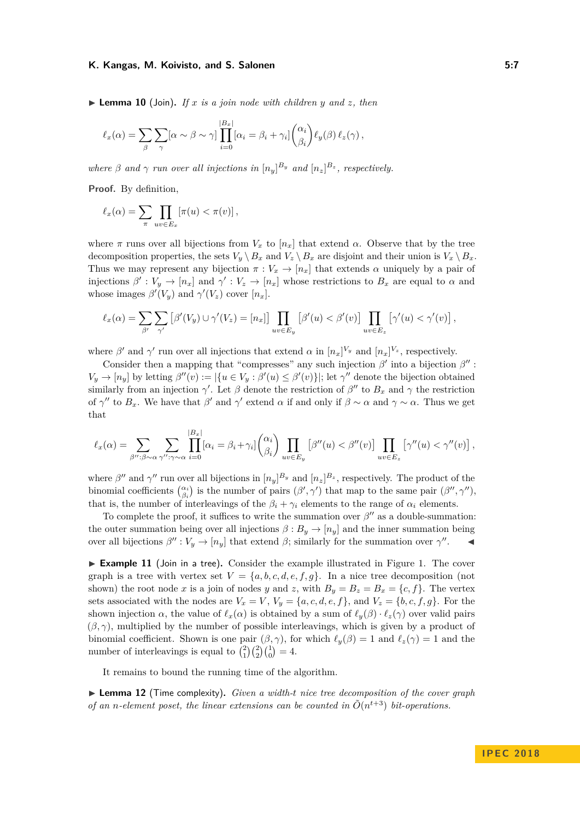#### K. Kangas, M. Koivisto, and S. Salonen **6:19 and S. Salonen** 5:7

<span id="page-6-1"></span> $\triangleright$  **Lemma 10** (Join). If x is a join node with children y and z, then

$$
\ell_x(\alpha) = \sum_{\beta} \sum_{\gamma} [\alpha \sim \beta \sim \gamma] \prod_{i=0}^{|B_x|} [\alpha_i = \beta_i + \gamma_i] \binom{\alpha_i}{\beta_i} \ell_y(\beta) \ell_z(\gamma),
$$

*where*  $\beta$  *and*  $\gamma$  *run over all injections in*  $[n_y]^{B_y}$  *and*  $[n_z]^{B_z}$ , *respectively.* 

**Proof.** By definition,

$$
\ell_x(\alpha) = \sum_{\pi} \prod_{uv \in E_x} \left[ \pi(u) < \pi(v) \right],
$$

where  $\pi$  runs over all bijections from  $V_x$  to  $[n_x]$  that extend  $\alpha$ . Observe that by the tree decomposition properties, the sets  $V_y \setminus B_x$  and  $V_z \setminus B_x$  are disjoint and their union is  $V_x \setminus B_x$ . Thus we may represent any bijection  $\pi : V_x \to [n_x]$  that extends  $\alpha$  uniquely by a pair of injections  $\beta': V_y \to [n_x]$  and  $\gamma': V_z \to [n_x]$  whose restrictions to  $B_x$  are equal to  $\alpha$  and whose images  $\beta'(V_y)$  and  $\gamma'(V_z)$  cover  $[n_x]$ .

$$
\ell_x(\alpha) = \sum_{\beta'} \sum_{\gamma'} \left[ \beta'(V_y) \cup \gamma'(V_z) = [n_x] \right] \prod_{uv \in E_y} \left[ \beta'(u) < \beta'(v) \right] \prod_{uv \in E_z} \left[ \gamma'(u) < \gamma'(v) \right],
$$

where  $\beta'$  and  $\gamma'$  run over all injections that extend  $\alpha$  in  $[n_x]^{V_y}$  and  $[n_x]^{V_z}$ , respectively.

Consider then a mapping that "compresses" any such injection  $\beta'$  into a bijection  $\beta''$ :  $V_y \to [n_y]$  by letting  $\beta''(v) := |\{u \in V_y : \beta'(u) \leq \beta'(v)\}|$ ; let  $\gamma''$  denote the bijection obtained similarly from an injection  $\gamma'$ . Let *β* denote the restriction of  $\beta''$  to  $B_x$  and  $\gamma$  the restriction of  $\gamma''$  to  $B_x$ . We have that  $\beta'$  and  $\gamma'$  extend  $\alpha$  if and only if  $\beta \sim \alpha$  and  $\gamma \sim \alpha$ . Thus we get that

$$
\ell_x(\alpha) = \sum_{\beta'' : \beta \sim \alpha} \sum_{\gamma'' : \gamma \sim \alpha} \prod_{i=0}^{|B_x|} [\alpha_i = \beta_i + \gamma_i] \binom{\alpha_i}{\beta_i} \prod_{uv \in E_y} [\beta''(u) < \beta''(v)] \prod_{uv \in E_z} [\gamma''(u) < \gamma''(v)],
$$

where  $\beta''$  and  $\gamma''$  run over all bijections in  $[n_y]^{B_y}$  and  $[n_z]^{B_z}$ , respectively. The product of the binomial coefficients  $\binom{\alpha_i}{\beta_i}$  is the number of pairs  $(\beta', \gamma')$  that map to the same pair  $(\beta'', \gamma'')$ , that is, the number of interleavings of the  $\beta_i + \gamma_i$  elements to the range of  $\alpha_i$  elements.

To complete the proof, it suffices to write the summation over  $\beta''$  as a double-summation: the outer summation being over all injections  $\beta : B_y \to [n_y]$  and the inner summation being over all bijections  $\beta'': V_y \to [n_y]$  that extend  $\beta$ ; similarly for the summation over  $\gamma''$  $\blacktriangleleft$ 

<span id="page-6-0"></span>► **Example 11** (Join in a tree). Consider the example illustrated in Figure [1.](#page-7-1) The cover graph is a tree with vertex set  $V = \{a, b, c, d, e, f, g\}$ . In a nice tree decomposition (not shown) the root node *x* is a join of nodes *y* and *z*, with  $B_y = B_z = B_x = \{c, f\}$ . The vertex sets associated with the nodes are  $V_x = V$ ,  $V_y = \{a, c, d, e, f\}$ , and  $V_z = \{b, c, f, g\}$ . For the shown injection *α*, the value of  $\ell_x(\alpha)$  is obtained by a sum of  $\ell_y(\beta) \cdot \ell_z(\gamma)$  over valid pairs  $(\beta, \gamma)$ , multiplied by the number of possible interleavings, which is given by a product of binomial coefficient. Shown is one pair  $(\beta, \gamma)$ , for which  $\ell_y(\beta) = 1$  and  $\ell_z(\gamma) = 1$  and the number of interleavings is equal to  $\binom{2}{1}\binom{2}{2}\binom{1}{0} = 4$ .

It remains to bound the running time of the algorithm.

▶ **Lemma 12** (Time complexity). *Given a width-t nice tree decomposition of the cover graph of an n-element poset, the linear extensions can be counted in*  $\tilde{O}(n^{t+3})$  *bit-operations.*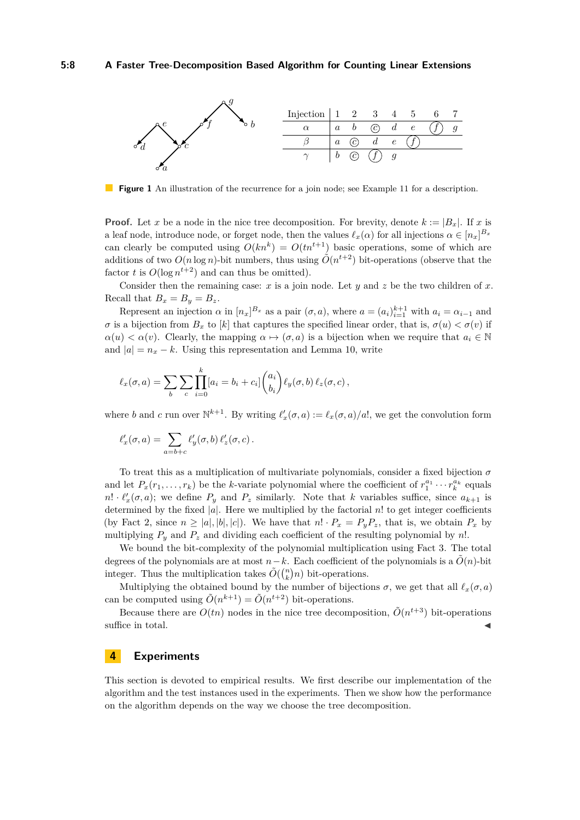<span id="page-7-1"></span>

**Figure 1** An illustration of the recurrence for a join node; see Example [11](#page-6-0) for a description.

**Proof.** Let *x* be a node in the nice tree decomposition. For brevity, denote  $k := |B_x|$ . If *x* is a leaf node, introduce node, or forget node, then the values  $\ell_x(\alpha)$  for all injections  $\alpha \in [n_x]^{B_x}$ can clearly be computed using  $O(kn^k) = O(tn^{t+1})$  basic operations, some of which are additions of two  $O(n \log n)$ -bit numbers, thus using  $\tilde{O}(n^{t+2})$  bit-operations (observe that the factor *t* is  $O(\log n^{t+2})$  and can thus be omitted).

Consider then the remaining case: *x* is a join node. Let *y* and *z* be the two children of *x*. Recall that  $B_x = B_y = B_z$ .

Represent an injection  $\alpha$  in  $[n_x]^{B_x}$  as a pair  $(\sigma, a)$ , where  $a = (a_i)_{i=1}^{k+1}$  with  $a_i = \alpha_{i-1}$  and *σ* is a bijection from *B<sub>x</sub>* to [*k*] that captures the specified linear order, that is,  $σ(u) < σ(v)$  if  $\alpha(u) < \alpha(v)$ . Clearly, the mapping  $\alpha \mapsto (\sigma, a)$  is a bijection when we require that  $a_i \in \mathbb{N}$ and  $|a| = n_x - k$ . Using this representation and Lemma [10,](#page-6-1) write

$$
\ell_x(\sigma, a) = \sum_b \sum_c \prod_{i=0}^k [a_i = b_i + c_i] \binom{a_i}{b_i} \ell_y(\sigma, b) \ell_z(\sigma, c),
$$

where *b* and *c* run over  $\mathbb{N}^{k+1}$ . By writing  $\ell'_x(\sigma, a) := \ell_x(\sigma, a)/a!$ , we get the convolution form

$$
\ell'_x(\sigma, a) = \sum_{a=b+c} \ell'_y(\sigma, b) \, \ell'_z(\sigma, c) \, .
$$

To treat this as a multiplication of multivariate polynomials, consider a fixed bijection *σ* and let  $P_x(r_1, \ldots, r_k)$  be the *k*-variate polynomial where the coefficient of  $r_1^{a_1} \cdots r_k^{a_k}$  equals  $n! \cdot \ell'_x(\sigma, a)$ ; we define  $P_y$  and  $P_z$  similarly. Note that *k* variables suffice, since  $a_{k+1}$  is determined by the fixed  $|a|$ . Here we multiplied by the factorial  $n!$  to get integer coefficients (by Fact [2,](#page-3-1) since  $n \geq |a|, |b|, |c|$ ). We have that  $n! \cdot P_x = P_y P_z$ , that is, we obtain  $P_x$  by multiplying  $P_y$  and  $P_z$  and dividing each coefficient of the resulting polynomial by *n*!.

We bound the bit-complexity of the polynomial multiplication using Fact [3.](#page-3-2) The total degrees of the polynomials are at most  $n-k$ . Each coefficient of the polynomials is a  $\tilde{O}(n)$ -bit integer. Thus the multiplication takes  $\tilde{O}(\binom{n}{k}n)$  bit-operations.

Multiplying the obtained bound by the number of bijections  $\sigma$ , we get that all  $\ell_x(\sigma, a)$ can be computed using  $\tilde{O}(n^{k+1}) = \tilde{O}(n^{t+2})$  bit-operations.

Because there are  $O(tn)$  nodes in the nice tree decomposition,  $\tilde{O}(n^{t+3})$  bit-operations suffice in total.

### <span id="page-7-0"></span>**4 Experiments**

This section is devoted to empirical results. We first describe our implementation of the algorithm and the test instances used in the experiments. Then we show how the performance on the algorithm depends on the way we choose the tree decomposition.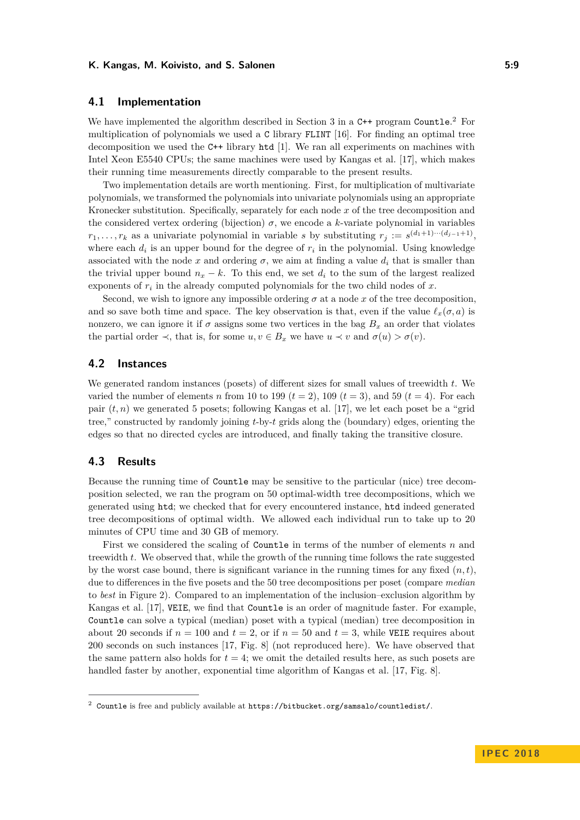#### K. Kangas, M. Koivisto, and S. Salonen **6:00 and 5:00 and 5:00 and 5:00 and 5:00 and 5:00 and 5:00 and 5:00 and 5:00 and 5:00 and 5:00 and 5:00 and 5:00 and 5:00 and 5:00 and 5:00 and 5:00 and 5:00 and 5:00 and 5:00 and 5:**

### **4.1 Implementation**

We have implemented the algorithm described in Section 3 in a C++ program Countle.<sup>[2](#page-8-0)</sup> For multiplication of polynomials we used a C library FLINT [\[16\]](#page-11-18). For finding an optimal tree decomposition we used the C++ library htd [\[1\]](#page-10-0). We ran all experiments on machines with Intel Xeon E5540 CPUs; the same machines were used by Kangas et al. [\[17\]](#page-11-5), which makes their running time measurements directly comparable to the present results.

Two implementation details are worth mentioning. First, for multiplication of multivariate polynomials, we transformed the polynomials into univariate polynomials using an appropriate Kronecker substitution. Specifically, separately for each node *x* of the tree decomposition and the considered vertex ordering (bijection)  $\sigma$ , we encode a *k*-variate polynomial in variables  $r_1, \ldots, r_k$  as a univariate polynomial in variable *s* by substituting  $r_j := s^{(d_1+1)\cdots(d_{j-1}+1)}$ , where each  $d_i$  is an upper bound for the degree of  $r_i$  in the polynomial. Using knowledge associated with the node  $x$  and ordering  $\sigma$ , we aim at finding a value  $d_i$  that is smaller than the trivial upper bound  $n_x - k$ . To this end, we set  $d_i$  to the sum of the largest realized exponents of  $r_i$  in the already computed polynomials for the two child nodes of  $x$ .

Second, we wish to ignore any impossible ordering  $\sigma$  at a node  $x$  of the tree decomposition, and so save both time and space. The key observation is that, even if the value  $\ell_x(\sigma, a)$  is nonzero, we can ignore it if  $\sigma$  assigns some two vertices in the bag  $B_x$  an order that violates the partial order  $\prec$ , that is, for some  $u, v \in B_x$  we have  $u \prec v$  and  $\sigma(u) > \sigma(v)$ .

### **4.2 Instances**

We generated random instances (posets) of different sizes for small values of treewidth *t*. We varied the number of elements *n* from 10 to 199 ( $t = 2$ ), 109 ( $t = 3$ ), and 59 ( $t = 4$ ). For each pair  $(t, n)$  we generated 5 posets; following Kangas et al. [\[17\]](#page-11-5), we let each poset be a "grid" tree," constructed by randomly joining *t*-by-*t* grids along the (boundary) edges, orienting the edges so that no directed cycles are introduced, and finally taking the transitive closure.

### **4.3 Results**

Because the running time of Countle may be sensitive to the particular (nice) tree decomposition selected, we ran the program on 50 optimal-width tree decompositions, which we generated using htd; we checked that for every encountered instance, htd indeed generated tree decompositions of optimal width. We allowed each individual run to take up to 20 minutes of CPU time and 30 GB of memory.

First we considered the scaling of Countle in terms of the number of elements *n* and treewidth *t*. We observed that, while the growth of the running time follows the rate suggested by the worst case bound, there is significant variance in the running times for any fixed  $(n, t)$ . due to differences in the five posets and the 50 tree decompositions per poset (compare *median* to *best* in Figure [2\)](#page-9-0). Compared to an implementation of the inclusion–exclusion algorithm by Kangas et al. [\[17\]](#page-11-5), VEIE, we find that Countle is an order of magnitude faster. For example, Countle can solve a typical (median) poset with a typical (median) tree decomposition in about 20 seconds if  $n = 100$  and  $t = 2$ , or if  $n = 50$  and  $t = 3$ , while VEIE requires about 200 seconds on such instances [\[17,](#page-11-5) Fig. 8] (not reproduced here). We have observed that the same pattern also holds for  $t = 4$ ; we omit the detailed results here, as such posets are handled faster by another, exponential time algorithm of Kangas et al. [\[17,](#page-11-5) Fig. 8].

<span id="page-8-0"></span><sup>2</sup> Countle is free and publicly available at https://bitbucket.org/samsalo/countledist/.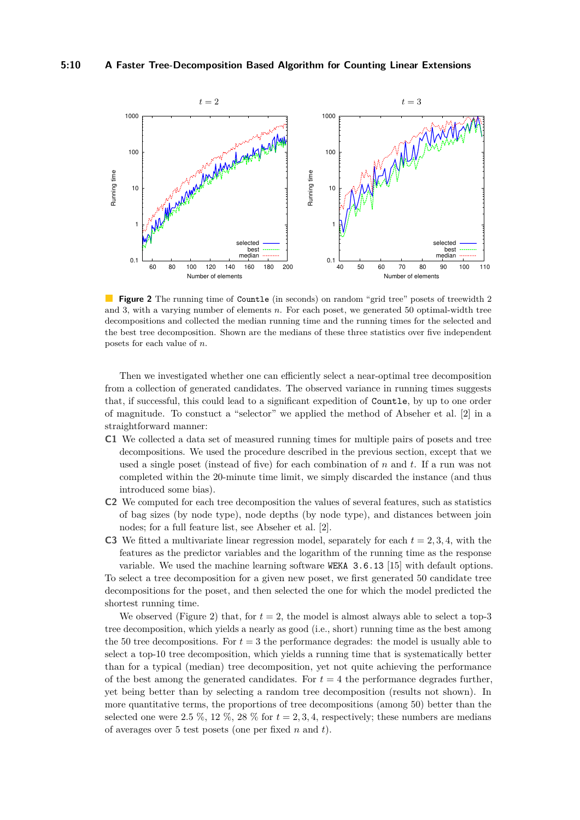<span id="page-9-0"></span>

**Figure 2** The running time of Countle (in seconds) on random "grid tree" posets of treewidth 2 and 3, with a varying number of elements *n*. For each poset, we generated 50 optimal-width tree decompositions and collected the median running time and the running times for the selected and the best tree decomposition. Shown are the medians of these three statistics over five independent posets for each value of *n*.

Then we investigated whether one can efficiently select a near-optimal tree decomposition from a collection of generated candidates. The observed variance in running times suggests that, if successful, this could lead to a significant expedition of Countle, by up to one order of magnitude. To constuct a "selector" we applied the method of Abseher et al. [\[2\]](#page-11-12) in a straightforward manner:

- **C1** We collected a data set of measured running times for multiple pairs of posets and tree decompositions. We used the procedure described in the previous section, except that we used a single poset (instead of five) for each combination of *n* and *t*. If a run was not completed within the 20-minute time limit, we simply discarded the instance (and thus introduced some bias).
- **C2** We computed for each tree decomposition the values of several features, such as statistics of bag sizes (by node type), node depths (by node type), and distances between join nodes; for a full feature list, see Abseher et al. [\[2\]](#page-11-12).
- **C3** We fitted a multivariate linear regression model, separately for each  $t = 2, 3, 4$ , with the features as the predictor variables and the logarithm of the running time as the response

variable. We used the machine learning software WEKA 3.6.13 [\[15\]](#page-11-19) with default options. To select a tree decomposition for a given new poset, we first generated 50 candidate tree decompositions for the poset, and then selected the one for which the model predicted the shortest running time.

We observed (Figure [2\)](#page-9-0) that, for  $t = 2$ , the model is almost always able to select a top-3 tree decomposition, which yields a nearly as good (i.e., short) running time as the best among the 50 tree decompositions. For  $t = 3$  the performance degrades: the model is usually able to select a top-10 tree decomposition, which yields a running time that is systematically better than for a typical (median) tree decomposition, yet not quite achieving the performance of the best among the generated candidates. For  $t = 4$  the performance degrades further, yet being better than by selecting a random tree decomposition (results not shown). In more quantitative terms, the proportions of tree decompositions (among 50) better than the selected one were 2.5 %, 12 %, 28 % for  $t = 2, 3, 4$ , respectively; these numbers are medians of averages over 5 test posets (one per fixed *n* and *t*).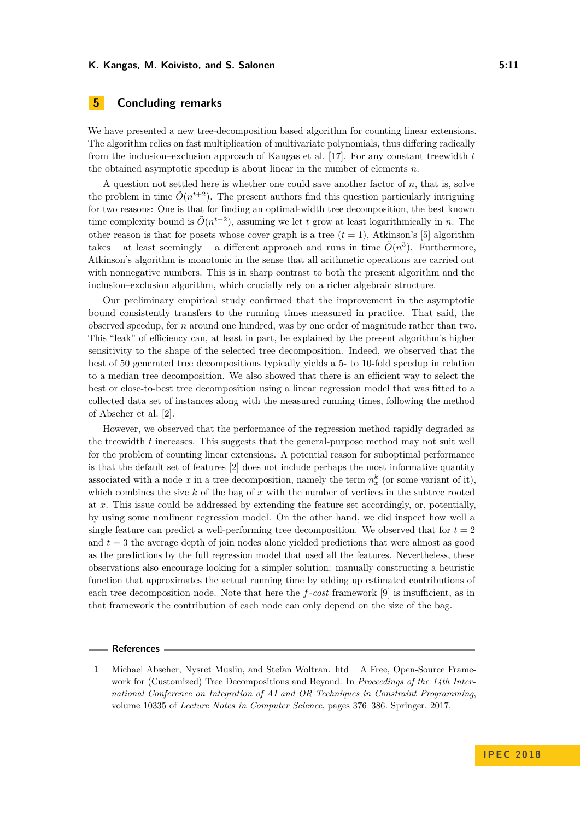### <span id="page-10-1"></span>**5 Concluding remarks**

We have presented a new tree-decomposition based algorithm for counting linear extensions. The algorithm relies on fast multiplication of multivariate polynomials, thus differing radically from the inclusion–exclusion approach of Kangas et al. [\[17\]](#page-11-5). For any constant treewidth *t* the obtained asymptotic speedup is about linear in the number of elements *n*.

A question not settled here is whether one could save another factor of *n*, that is, solve the problem in time  $\tilde{O}(n^{t+2})$ . The present authors find this question particularly intriguing for two reasons: One is that for finding an optimal-width tree decomposition, the best known time complexity bound is  $\tilde{O}(n^{t+2})$ , assuming we let *t* grow at least logarithmically in *n*. The other reason is that for posets whose cover graph is a tree  $(t = 1)$ , Atkinson's [\[5\]](#page-11-4) algorithm takes – at least seemingly – a different approach and runs in time  $\tilde{O}(n^3)$ . Furthermore, Atkinson's algorithm is monotonic in the sense that all arithmetic operations are carried out with nonnegative numbers. This is in sharp contrast to both the present algorithm and the inclusion–exclusion algorithm, which crucially rely on a richer algebraic structure.

Our preliminary empirical study confirmed that the improvement in the asymptotic bound consistently transfers to the running times measured in practice. That said, the observed speedup, for *n* around one hundred, was by one order of magnitude rather than two. This "leak" of efficiency can, at least in part, be explained by the present algorithm's higher sensitivity to the shape of the selected tree decomposition. Indeed, we observed that the best of 50 generated tree decompositions typically yields a 5- to 10-fold speedup in relation to a median tree decomposition. We also showed that there is an efficient way to select the best or close-to-best tree decomposition using a linear regression model that was fitted to a collected data set of instances along with the measured running times, following the method of Abseher et al. [\[2\]](#page-11-12).

However, we observed that the performance of the regression method rapidly degraded as the treewidth *t* increases. This suggests that the general-purpose method may not suit well for the problem of counting linear extensions. A potential reason for suboptimal performance is that the default set of features [\[2\]](#page-11-12) does not include perhaps the most informative quantity associated with a node  $x$  in a tree decomposition, namely the term  $n_x^k$  (or some variant of it), which combines the size *k* of the bag of *x* with the number of vertices in the subtree rooted at *x*. This issue could be addressed by extending the feature set accordingly, or, potentially, by using some nonlinear regression model. On the other hand, we did inspect how well a single feature can predict a well-performing tree decomposition. We observed that for  $t = 2$ and  $t = 3$  the average depth of join nodes alone yielded predictions that were almost as good as the predictions by the full regression model that used all the features. Nevertheless, these observations also encourage looking for a simpler solution: manually constructing a heuristic function that approximates the actual running time by adding up estimated contributions of each tree decomposition node. Note that here the *f-cost* framework [\[9\]](#page-11-11) is insufficient, as in that framework the contribution of each node can only depend on the size of the bag.

#### **References**

<span id="page-10-0"></span>**<sup>1</sup>** Michael Abseher, Nysret Musliu, and Stefan Woltran. htd – A Free, Open-Source Framework for (Customized) Tree Decompositions and Beyond. In *Proceedings of the 14th International Conference on Integration of AI and OR Techniques in Constraint Programming*, volume 10335 of *Lecture Notes in Computer Science*, pages 376–386. Springer, 2017.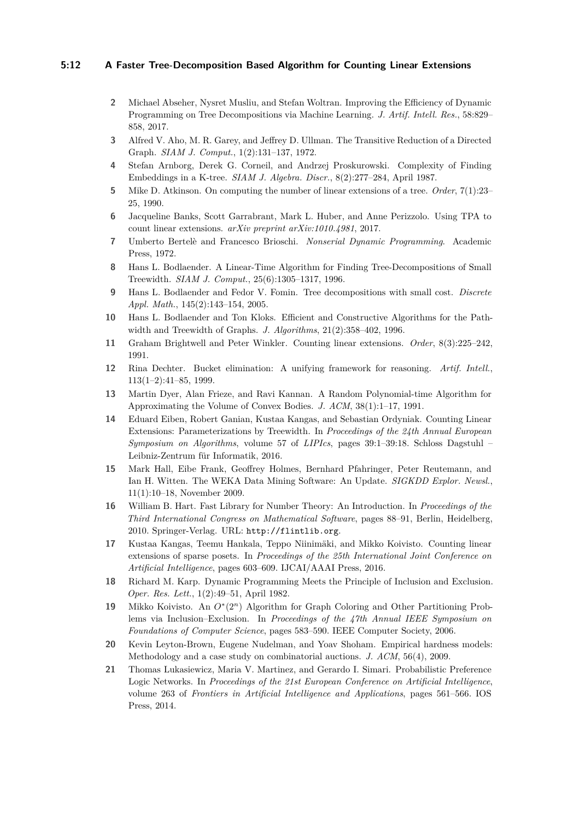#### **5:12 A Faster Tree-Decomposition Based Algorithm for Counting Linear Extensions**

- <span id="page-11-12"></span>**2** Michael Abseher, Nysret Musliu, and Stefan Woltran. Improving the Efficiency of Dynamic Programming on Tree Decompositions via Machine Learning. *J. Artif. Intell. Res.*, 58:829– 858, 2017.
- <span id="page-11-17"></span>**3** Alfred V. Aho, M. R. Garey, and Jeffrey D. Ullman. The Transitive Reduction of a Directed Graph. *SIAM J. Comput.*, 1(2):131–137, 1972.
- <span id="page-11-15"></span>**4** Stefan Arnborg, Derek G. Corneil, and Andrzej Proskurowski. Complexity of Finding Embeddings in a K-tree. *SIAM J. Algebra. Discr.*, 8(2):277–284, April 1987.
- <span id="page-11-4"></span>**5** Mike D. Atkinson. On computing the number of linear extensions of a tree. *Order*, 7(1):23– 25, 1990.
- <span id="page-11-3"></span>**6** Jacqueline Banks, Scott Garrabrant, Mark L. Huber, and Anne Perizzolo. Using TPA to count linear extensions. *arXiv preprint arXiv:1010.4981*, 2017.
- <span id="page-11-9"></span>**7** Umberto Bertelè and Francesco Brioschi. *Nonserial Dynamic Programming*. Academic Press, 1972.
- <span id="page-11-14"></span>**8** Hans L. Bodlaender. A Linear-Time Algorithm for Finding Tree-Decompositions of Small Treewidth. *SIAM J. Comput.*, 25(6):1305–1317, 1996.
- <span id="page-11-11"></span>**9** Hans L. Bodlaender and Fedor V. Fomin. Tree decompositions with small cost. *Discrete Appl. Math.*, 145(2):143–154, 2005.
- <span id="page-11-16"></span>**10** Hans L. Bodlaender and Ton Kloks. Efficient and Constructive Algorithms for the Pathwidth and Treewidth of Graphs. *J. Algorithms*, 21(2):358–402, 1996.
- <span id="page-11-1"></span>**11** Graham Brightwell and Peter Winkler. Counting linear extensions. *Order*, 8(3):225–242, 1991.
- <span id="page-11-10"></span>**12** Rina Dechter. Bucket elimination: A unifying framework for reasoning. *Artif. Intell.*, 113(1–2):41–85, 1999.
- <span id="page-11-2"></span>**13** Martin Dyer, Alan Frieze, and Ravi Kannan. A Random Polynomial-time Algorithm for Approximating the Volume of Convex Bodies. *J. ACM*, 38(1):1–17, 1991.
- <span id="page-11-6"></span>**14** Eduard Eiben, Robert Ganian, Kustaa Kangas, and Sebastian Ordyniak. Counting Linear Extensions: Parameterizations by Treewidth. In *Proceedings of the 24th Annual European Symposium on Algorithms*, volume 57 of *LIPIcs*, pages 39:1–39:18. Schloss Dagstuhl – Leibniz-Zentrum für Informatik, 2016.
- <span id="page-11-19"></span>**15** Mark Hall, Eibe Frank, Geoffrey Holmes, Bernhard Pfahringer, Peter Reutemann, and Ian H. Witten. The WEKA Data Mining Software: An Update. *SIGKDD Explor. Newsl.*, 11(1):10–18, November 2009.
- <span id="page-11-18"></span>**16** William B. Hart. Fast Library for Number Theory: An Introduction. In *Proceedings of the Third International Congress on Mathematical Software*, pages 88–91, Berlin, Heidelberg, 2010. Springer-Verlag. URL: <http://flintlib.org>.
- <span id="page-11-5"></span>**17** Kustaa Kangas, Teemu Hankala, Teppo Niinimäki, and Mikko Koivisto. Counting linear extensions of sparse posets. In *Proceedings of the 25th International Joint Conference on Artificial Intelligence*, pages 603–609. IJCAI/AAAI Press, 2016.
- <span id="page-11-7"></span>**18** Richard M. Karp. Dynamic Programming Meets the Principle of Inclusion and Exclusion. *Oper. Res. Lett.*, 1(2):49–51, April 1982.
- <span id="page-11-8"></span>**19** Mikko Koivisto. An *O*<sup>∗</sup> (2*<sup>n</sup>*) Algorithm for Graph Coloring and Other Partitioning Problems via Inclusion–Exclusion. In *Proceedings of the 47th Annual IEEE Symposium on Foundations of Computer Science*, pages 583–590. IEEE Computer Society, 2006.
- <span id="page-11-13"></span>**20** Kevin Leyton-Brown, Eugene Nudelman, and Yoav Shoham. Empirical hardness models: Methodology and a case study on combinatorial auctions. *J. ACM*, 56(4), 2009.
- <span id="page-11-0"></span>**21** Thomas Lukasiewicz, Maria V. Martinez, and Gerardo I. Simari. Probabilistic Preference Logic Networks. In *Proceedings of the 21st European Conference on Artificial Intelligence*, volume 263 of *Frontiers in Artificial Intelligence and Applications*, pages 561–566. IOS Press, 2014.